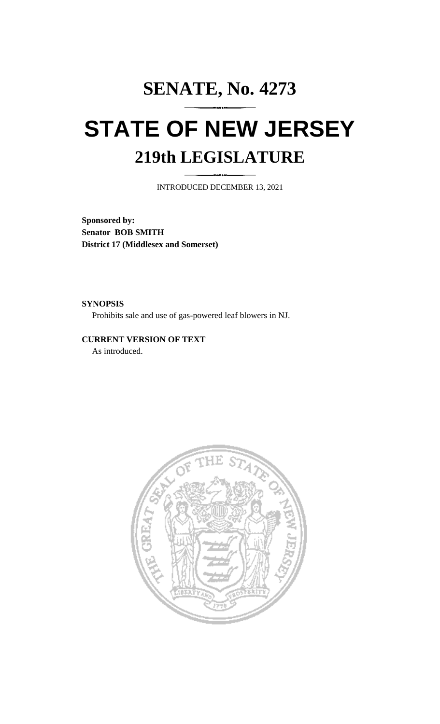## **SENATE, No. 4273 STATE OF NEW JERSEY 219th LEGISLATURE**

INTRODUCED DECEMBER 13, 2021

**Sponsored by: Senator BOB SMITH District 17 (Middlesex and Somerset)**

**SYNOPSIS**

Prohibits sale and use of gas-powered leaf blowers in NJ.

**CURRENT VERSION OF TEXT**  As introduced.

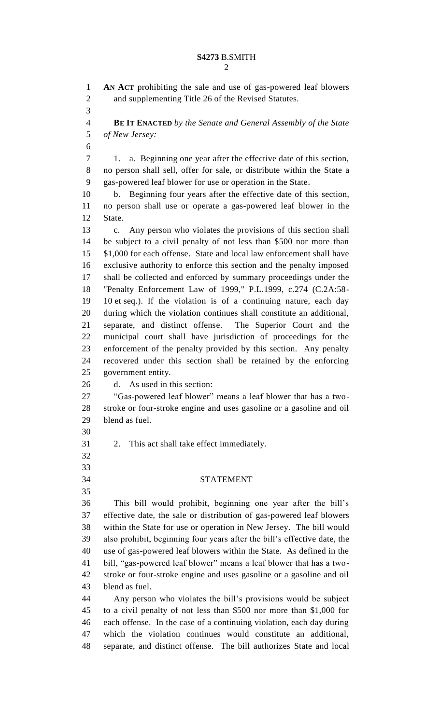**AN ACT** prohibiting the sale and use of gas-powered leaf blowers and supplementing Title 26 of the Revised Statutes. **BE IT ENACTED** *by the Senate and General Assembly of the State of New Jersey:* 1. a. Beginning one year after the effective date of this section, no person shall sell, offer for sale, or distribute within the State a gas-powered leaf blower for use or operation in the State. b. Beginning four years after the effective date of this section, no person shall use or operate a gas-powered leaf blower in the State. c. Any person who violates the provisions of this section shall be subject to a civil penalty of not less than \$500 nor more than \$1,000 for each offense. State and local law enforcement shall have exclusive authority to enforce this section and the penalty imposed shall be collected and enforced by summary proceedings under the "Penalty Enforcement Law of 1999," P.L.1999, c.274 (C.2A:58- 10 et seq.). If the violation is of a continuing nature, each day during which the violation continues shall constitute an additional, separate, and distinct offense. The Superior Court and the municipal court shall have jurisdiction of proceedings for the enforcement of the penalty provided by this section. Any penalty recovered under this section shall be retained by the enforcing government entity. d. As used in this section: "Gas-powered leaf blower" means a leaf blower that has a two- stroke or four-stroke engine and uses gasoline or a gasoline and oil blend as fuel. 2. This act shall take effect immediately. STATEMENT This bill would prohibit, beginning one year after the bill's effective date, the sale or distribution of gas-powered leaf blowers within the State for use or operation in New Jersey. The bill would also prohibit, beginning four years after the bill's effective date, the use of gas-powered leaf blowers within the State. As defined in the bill, "gas-powered leaf blower" means a leaf blower that has a two- stroke or four-stroke engine and uses gasoline or a gasoline and oil blend as fuel. Any person who violates the bill's provisions would be subject to a civil penalty of not less than \$500 nor more than \$1,000 for each offense. In the case of a continuing violation, each day during which the violation continues would constitute an additional, separate, and distinct offense. The bill authorizes State and local